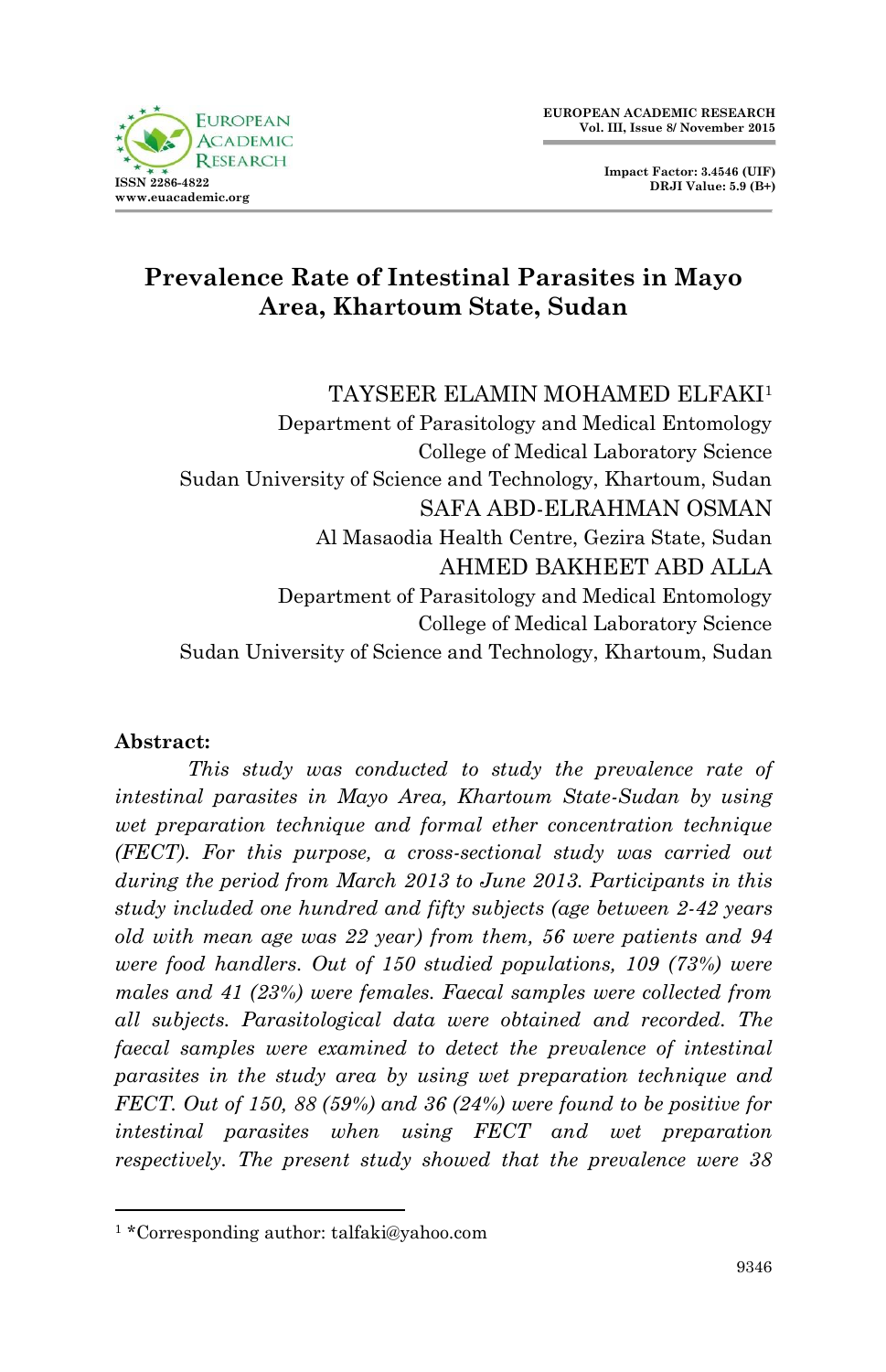

# **Prevalence Rate of Intestinal Parasites in Mayo Area, Khartoum State, Sudan**

#### TAYSEER ELAMIN MOHAMED ELFAKI<sup>1</sup>

Department of Parasitology and Medical Entomology College of Medical Laboratory Science Sudan University of Science and Technology, Khartoum, Sudan SAFA ABD-ELRAHMAN OSMAN Al Masaodia Health Centre, Gezira State, Sudan AHMED BAKHEET ABD ALLA Department of Parasitology and Medical Entomology College of Medical Laboratory Science Sudan University of Science and Technology, Khartoum, Sudan

#### **Abstract:**

1

*This study was conducted to study the prevalence rate of intestinal parasites in Mayo Area, Khartoum State-Sudan by using wet preparation technique and formal ether concentration technique (FECT). For this purpose, a cross-sectional study was carried out during the period from March 2013 to June 2013. Participants in this study included one hundred and fifty subjects (age between 2-42 years old with mean age was 22 year) from them, 56 were patients and 94 were food handlers. Out of 150 studied populations, 109 (73%) were males and 41 (23%) were females. Faecal samples were collected from all subjects. Parasitological data were obtained and recorded. The faecal samples were examined to detect the prevalence of intestinal parasites in the study area by using wet preparation technique and FECT. Out of 150, 88 (59%) and 36 (24%) were found to be positive for intestinal parasites when using FECT and wet preparation respectively. The present study showed that the prevalence were 38* 

<sup>1</sup> \*Corresponding author: talfaki@yahoo.com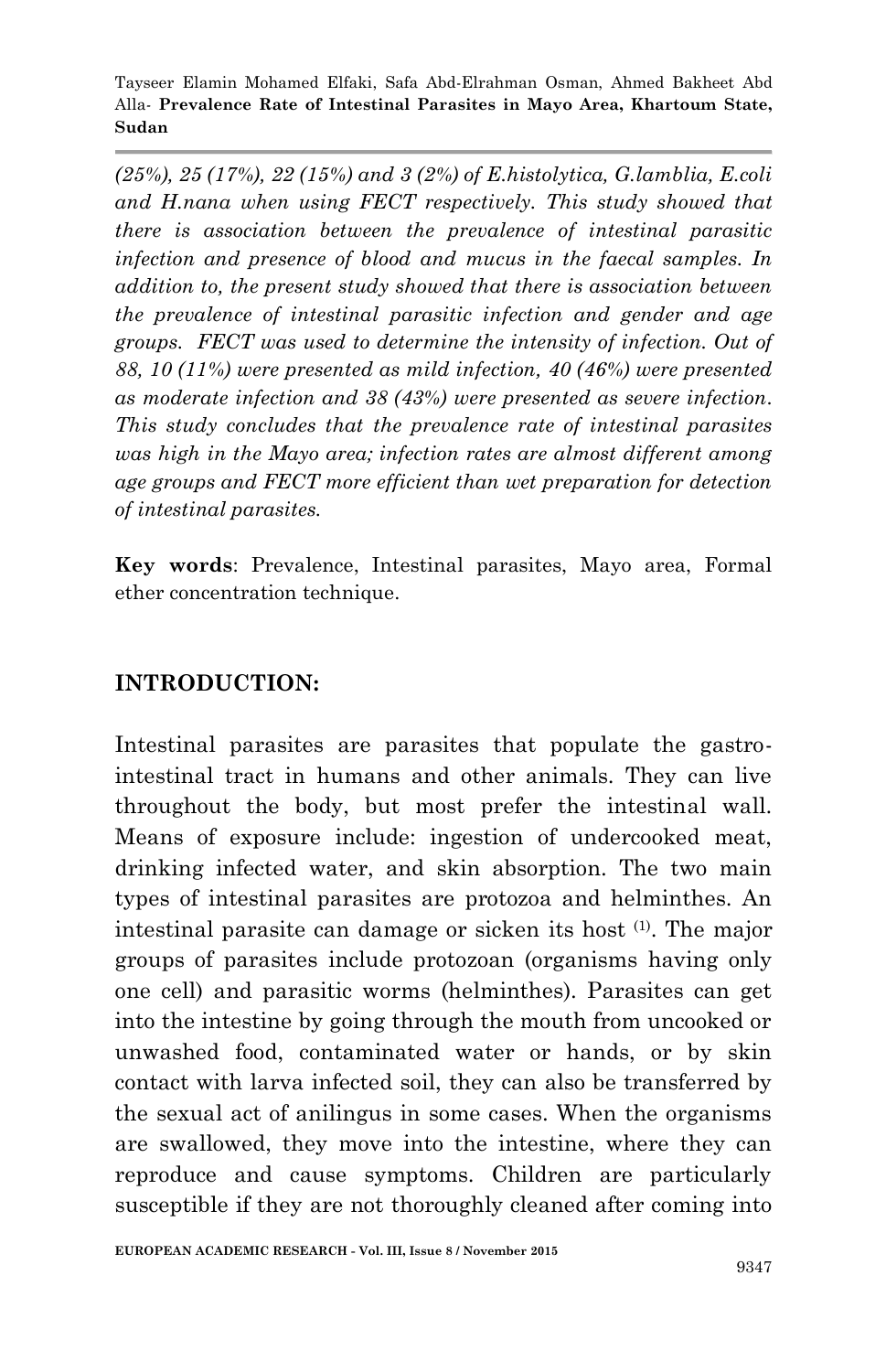*(25%), 25 (17%), 22 (15%) and 3 (2%) of E.histolytica, G.lamblia, E.coli and H.nana when using FECT respectively. This study showed that there is association between the prevalence of intestinal parasitic infection and presence of blood and mucus in the faecal samples. In addition to, the present study showed that there is association between the prevalence of intestinal parasitic infection and gender and age groups. FECT was used to determine the intensity of infection. Out of 88, 10 (11%) were presented as mild infection, 40 (46%) were presented as moderate infection and 38 (43%) were presented as severe infection. This study concludes that the prevalence rate of intestinal parasites was high in the Mayo area; infection rates are almost different among age groups and FECT more efficient than wet preparation for detection of intestinal parasites.*

**Key words**: Prevalence, Intestinal parasites, Mayo area, Formal ether concentration technique.

## **INTRODUCTION:**

Intestinal parasites are parasites that populate the gastrointestinal tract in humans and other animals. They can live throughout the body, but most prefer the intestinal wall. Means of exposure include: ingestion of undercooked meat, drinking infected water, and skin absorption. The two main types of intestinal parasites are protozoa and helminthes. An intestinal parasite can damage or sicken its host (1) . The major groups of parasites include protozoan (organisms having only one cell) and parasitic worms (helminthes). Parasites can get into the intestine by going through the mouth from uncooked or unwashed food, contaminated water or hands, or by skin contact with larva infected soil, they can also be transferred by the sexual act of anilingus in some cases. When the organisms are swallowed, they move into the intestine, where they can reproduce and cause symptoms. Children are particularly susceptible if they are not thoroughly cleaned after coming into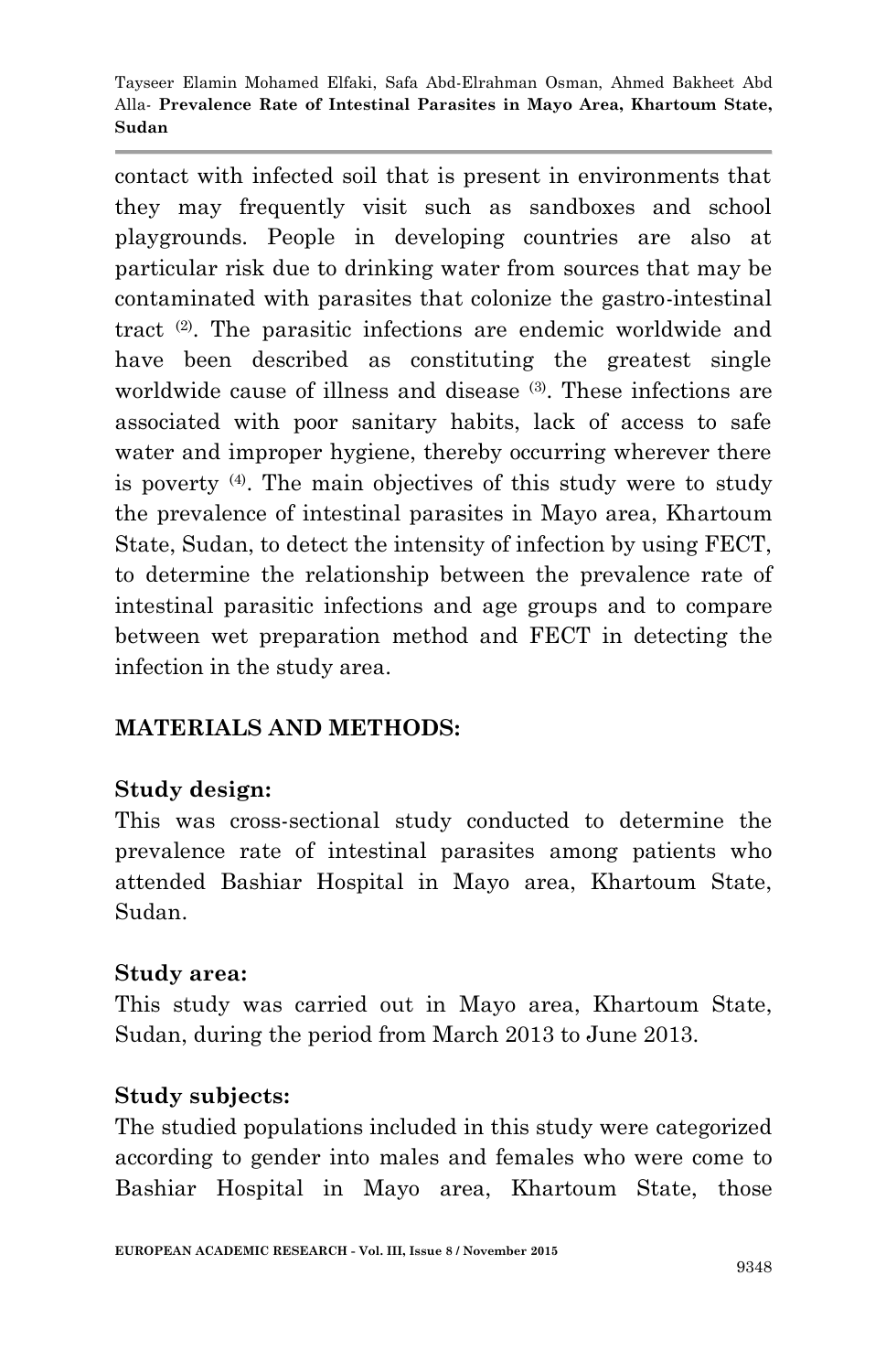contact with infected soil that is present in environments that they may frequently visit such as sandboxes and school playgrounds. People in developing countries are also at particular risk due to drinking water from sources that may be contaminated with parasites that colonize the gastro-intestinal tract (2). The parasitic infections are endemic worldwide and have been described as constituting the greatest single worldwide cause of illness and disease (3). These infections are associated with poor sanitary habits, lack of access to safe water and improper hygiene, thereby occurring wherever there is poverty (4) . The main objectives of this study were to study the prevalence of intestinal parasites in Mayo area, Khartoum State, Sudan, to detect the intensity of infection by using FECT, to determine the relationship between the prevalence rate of intestinal parasitic infections and age groups and to compare between wet preparation method and FECT in detecting the infection in the study area.

# **MATERIALS AND METHODS:**

## **Study design:**

This was cross-sectional study conducted to determine the prevalence rate of intestinal parasites among patients who attended Bashiar Hospital in Mayo area, Khartoum State, Sudan.

#### **Study area:**

This study was carried out in Mayo area, Khartoum State, Sudan, during the period from March 2013 to June 2013.

#### **Study subjects:**

The studied populations included in this study were categorized according to gender into males and females who were come to Bashiar Hospital in Mayo area, Khartoum State, those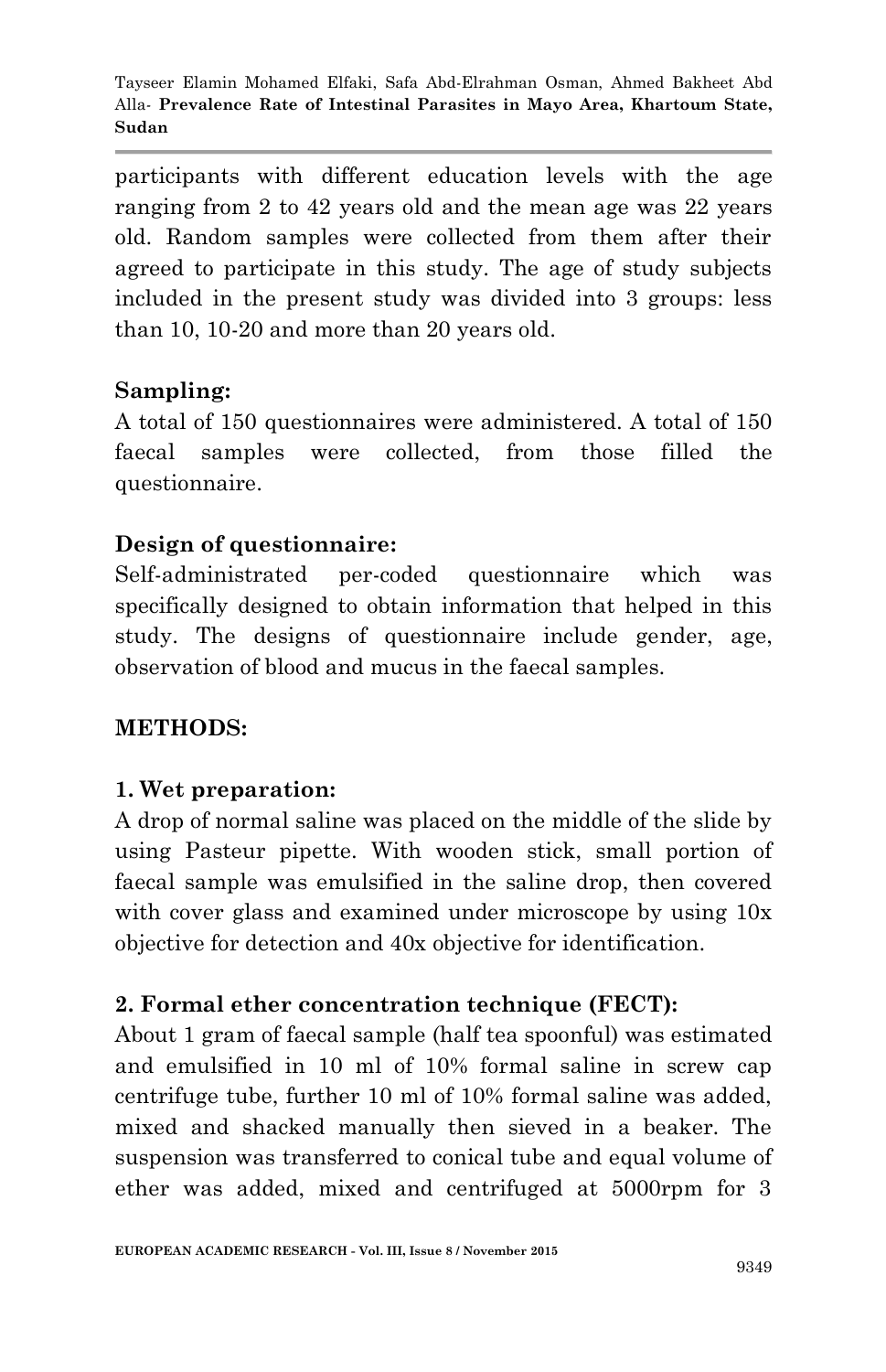participants with different education levels with the age ranging from 2 to 42 years old and the mean age was 22 years old. Random samples were collected from them after their agreed to participate in this study. The age of study subjects included in the present study was divided into 3 groups: less than 10, 10-20 and more than 20 years old.

## **Sampling:**

A total of 150 questionnaires were administered. A total of 150 faecal samples were collected, from those filled the questionnaire.

# **Design of questionnaire:**

Self-administrated per-coded questionnaire which was specifically designed to obtain information that helped in this study. The designs of questionnaire include gender, age, observation of blood and mucus in the faecal samples.

## **METHODS:**

## **1. Wet preparation:**

A drop of normal saline was placed on the middle of the slide by using Pasteur pipette. With wooden stick, small portion of faecal sample was emulsified in the saline drop, then covered with cover glass and examined under microscope by using  $10x$ objective for detection and 40x objective for identification.

## **2. Formal ether concentration technique (FECT):**

About 1 gram of faecal sample (half tea spoonful) was estimated and emulsified in 10 ml of 10% formal saline in screw cap centrifuge tube, further 10 ml of 10% formal saline was added, mixed and shacked manually then sieved in a beaker. The suspension was transferred to conical tube and equal volume of ether was added, mixed and centrifuged at 5000rpm for 3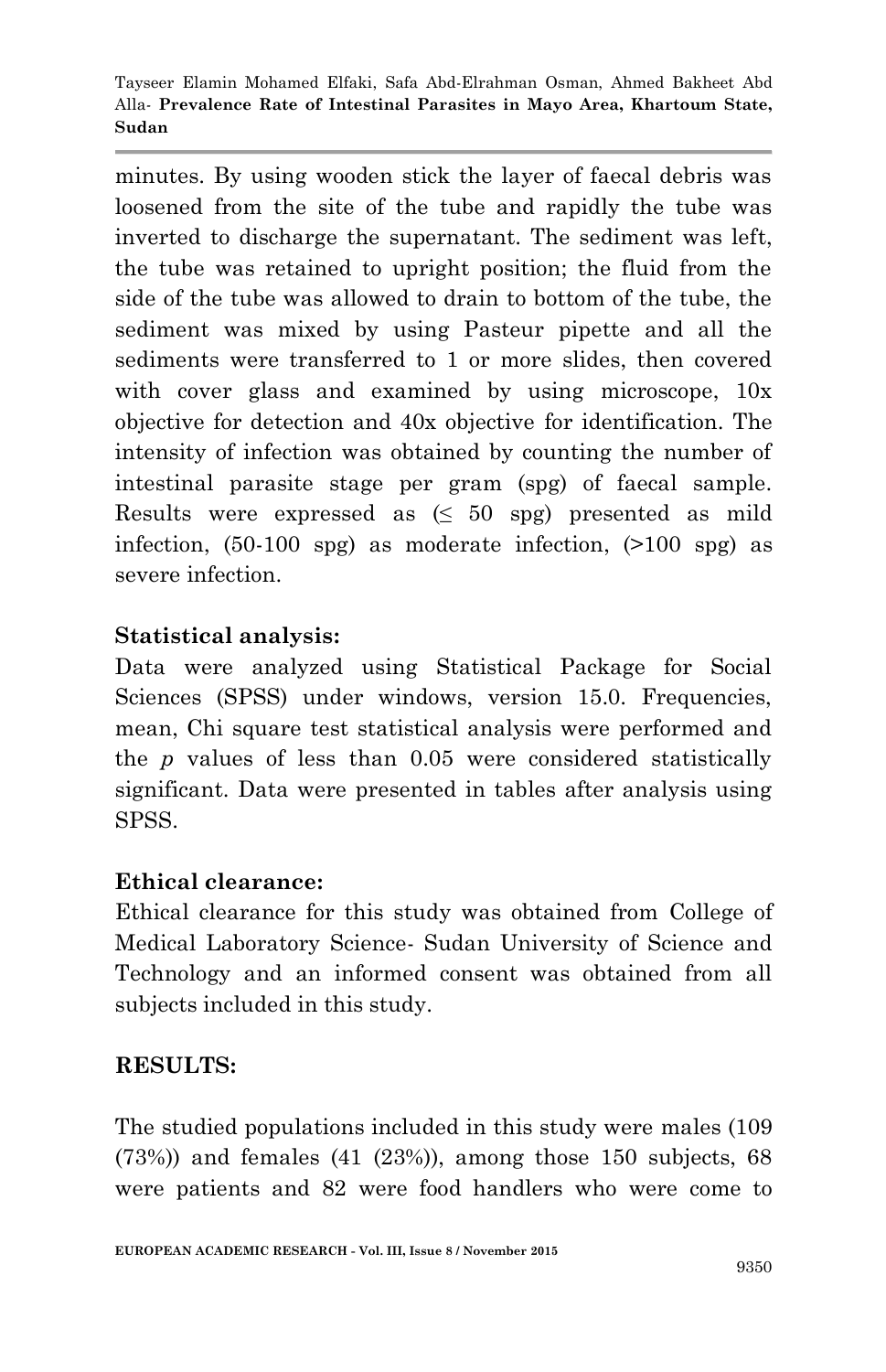minutes. By using wooden stick the layer of faecal debris was loosened from the site of the tube and rapidly the tube was inverted to discharge the supernatant. The sediment was left, the tube was retained to upright position; the fluid from the side of the tube was allowed to drain to bottom of the tube, the sediment was mixed by using Pasteur pipette and all the sediments were transferred to 1 or more slides, then covered with cover glass and examined by using microscope,  $10x$ objective for detection and 40x objective for identification. The intensity of infection was obtained by counting the number of intestinal parasite stage per gram (spg) of faecal sample. Results were expressed as  $( \leq 50 \text{ spg} )$  presented as mild infection, (50-100 spg) as moderate infection, (>100 spg) as severe infection.

## **Statistical analysis:**

Data were analyzed using Statistical Package for Social Sciences (SPSS) under windows, version 15.0. Frequencies, mean, Chi square test statistical analysis were performed and the *p* values of less than 0.05 were considered statistically significant. Data were presented in tables after analysis using SPSS.

## **Ethical clearance:**

Ethical clearance for this study was obtained from College of Medical Laboratory Science- Sudan University of Science and Technology and an informed consent was obtained from all subjects included in this study.

## **RESULTS:**

The studied populations included in this study were males (109  $(73%)$  and females  $(41 \ (23%)$ , among those 150 subjects, 68 were patients and 82 were food handlers who were come to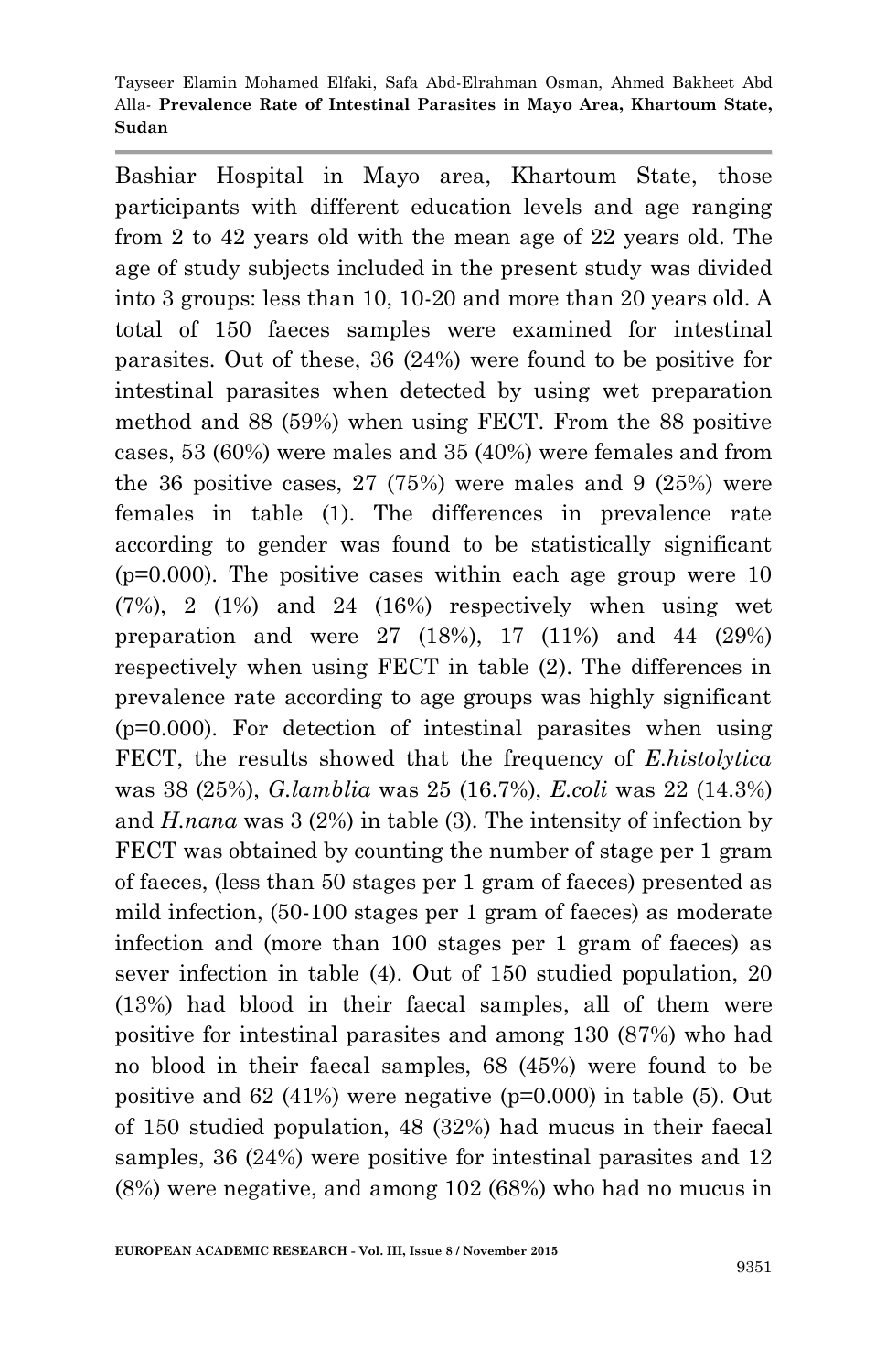Bashiar Hospital in Mayo area, Khartoum State, those participants with different education levels and age ranging from 2 to 42 years old with the mean age of 22 years old. The age of study subjects included in the present study was divided into 3 groups: less than 10, 10-20 and more than 20 years old. A total of 150 faeces samples were examined for intestinal parasites. Out of these, 36 (24%) were found to be positive for intestinal parasites when detected by using wet preparation method and 88 (59%) when using FECT. From the 88 positive cases, 53 (60%) were males and 35 (40%) were females and from the 36 positive cases,  $27(75%)$  were males and 9  $(25%)$  were females in table (1). The differences in prevalence rate according to gender was found to be statistically significant  $(p=0.000)$ . The positive cases within each age group were 10  $(7%)$ , 2  $(1%)$  and 24  $(16%)$  respectively when using wet preparation and were 27 (18%), 17 (11%) and 44 (29%) respectively when using FECT in table (2). The differences in prevalence rate according to age groups was highly significant (p=0.000). For detection of intestinal parasites when using FECT, the results showed that the frequency of *E.histolytica* was 38 (25%), *G.lamblia* was 25 (16.7%), *E.coli* was 22 (14.3%) and *H.nana* was 3 (2%) in table (3). The intensity of infection by FECT was obtained by counting the number of stage per 1 gram of faeces, (less than 50 stages per 1 gram of faeces) presented as mild infection, (50-100 stages per 1 gram of faeces) as moderate infection and (more than 100 stages per 1 gram of faeces) as sever infection in table (4). Out of 150 studied population, 20 (13%) had blood in their faecal samples, all of them were positive for intestinal parasites and among 130 (87%) who had no blood in their faecal samples, 68 (45%) were found to be positive and  $62$  (41%) were negative ( $p=0.000$ ) in table (5). Out of 150 studied population, 48 (32%) had mucus in their faecal samples, 36 (24%) were positive for intestinal parasites and 12 (8%) were negative, and among 102 (68%) who had no mucus in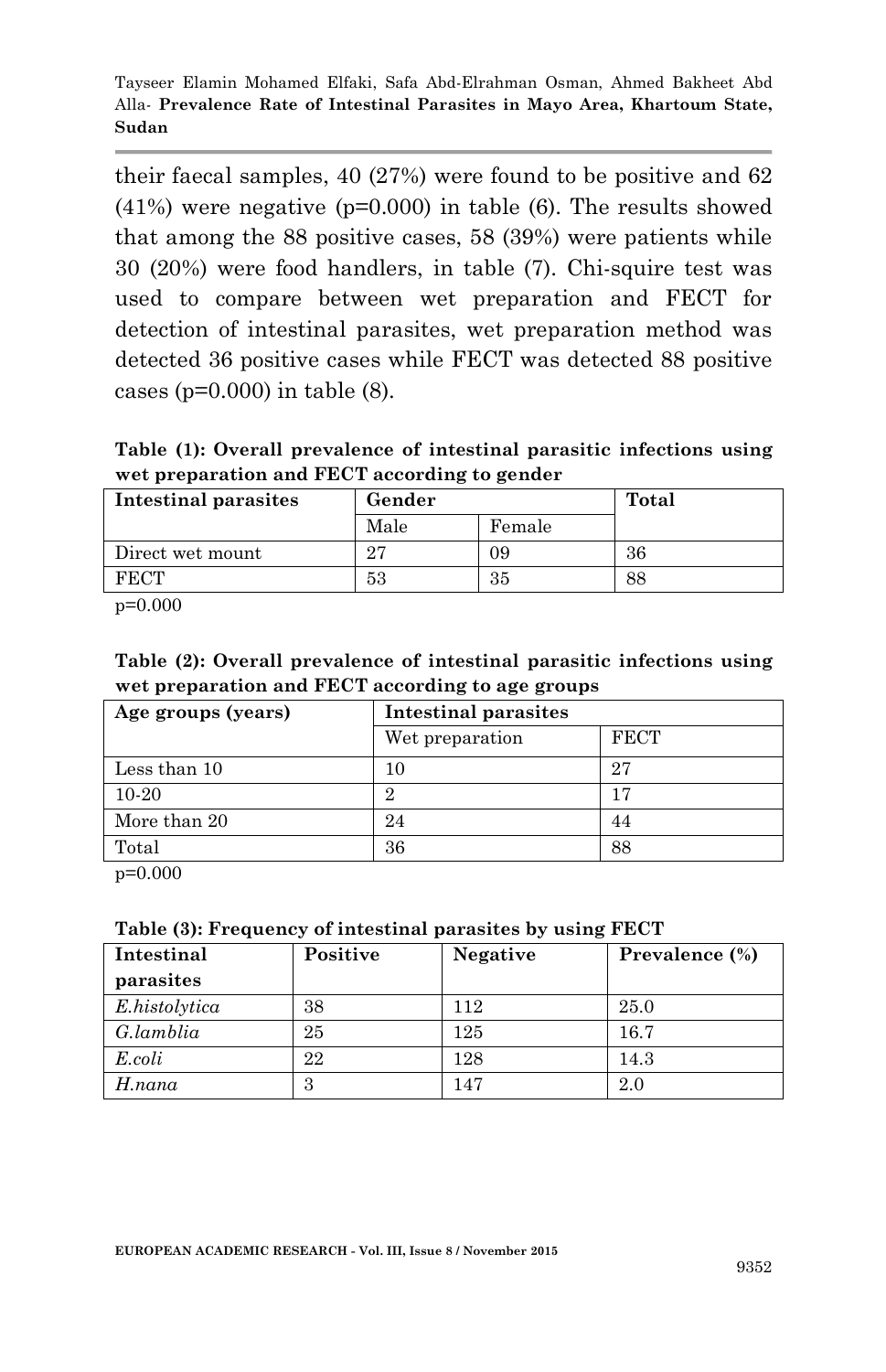their faecal samples, 40 (27%) were found to be positive and 62  $(41%)$  were negative  $(p=0.000)$  in table (6). The results showed that among the 88 positive cases, 58 (39%) were patients while 30 (20%) were food handlers, in table (7). Chi-squire test was used to compare between wet preparation and FECT for detection of intestinal parasites, wet preparation method was detected 36 positive cases while FECT was detected 88 positive cases ( $p=0.000$ ) in table (8).

**Table (1): Overall prevalence of intestinal parasitic infections using wet preparation and FECT according to gender**

| Intestinal parasites | Gender | Total  |    |
|----------------------|--------|--------|----|
|                      | Male   | Female |    |
| Direct wet mount     | 97     | 09     | 36 |
| FECT                 | 53     | 35     | 88 |

p=0.000

**Table (2): Overall prevalence of intestinal parasitic infections using wet preparation and FECT according to age groups**

| Age groups (years) | Intestinal parasites |             |  |
|--------------------|----------------------|-------------|--|
|                    | Wet preparation      | <b>FECT</b> |  |
| Less than 10       | 10                   | 27          |  |
| 10-20              |                      |             |  |
| More than 20       | 24                   | 44          |  |
| Total              | 36                   | 88          |  |

p=0.000

| Intestinal    | Positive | Negative | Prevalence (%) |
|---------------|----------|----------|----------------|
| parasites     |          |          |                |
| E.histolytica | 38       | 112      | 25.0           |
| G.lamblia     | 25       | 125      | 16.7           |
| E.coli        | 22       | 128      | 14.3           |
| H.nana        | 3        | 147      | 2.0            |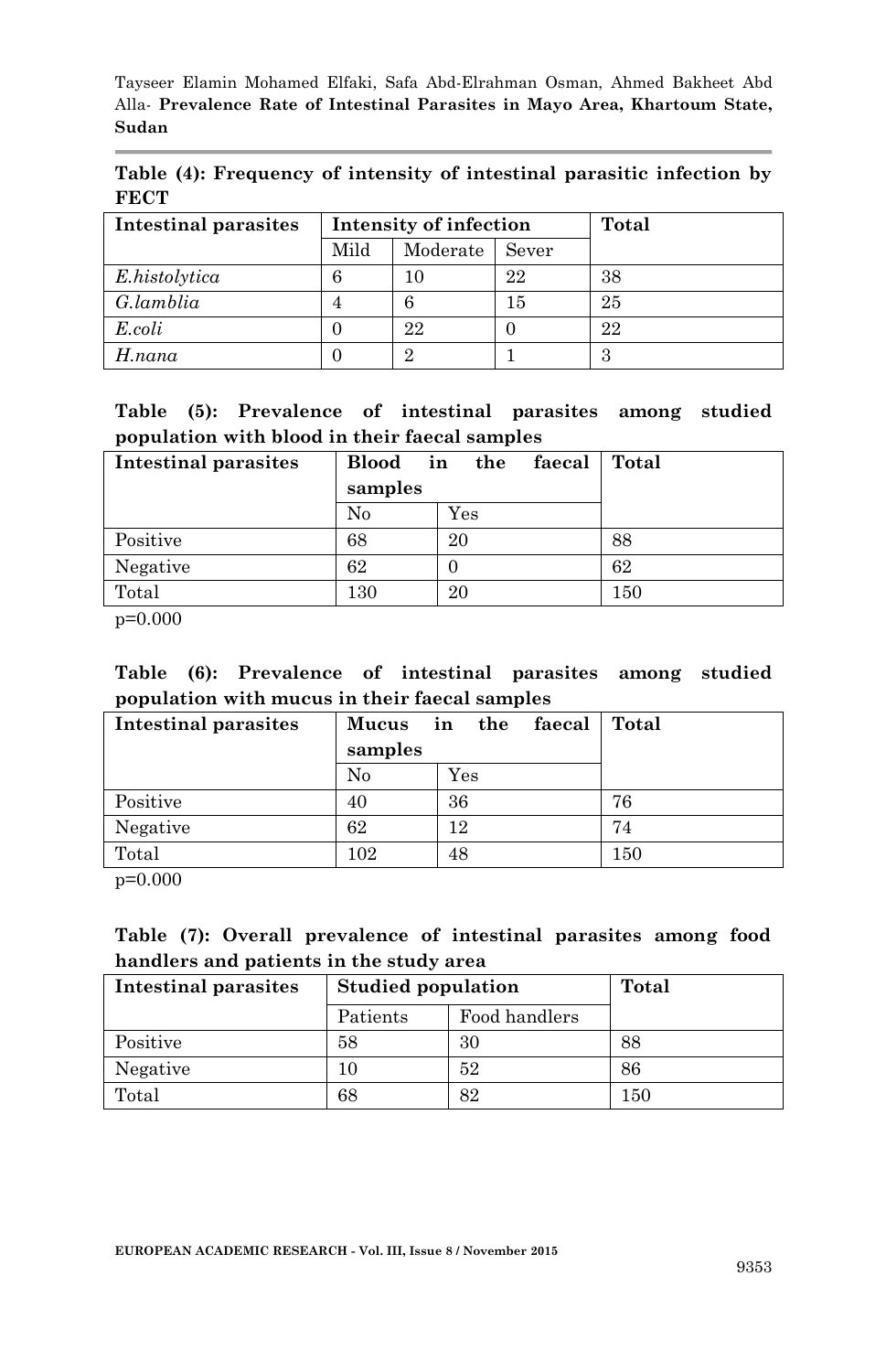**Table (4): Frequency of intensity of intestinal parasitic infection by FECT**

| Intestinal parasites | Intensity of infection    |    |    | Total |
|----------------------|---------------------------|----|----|-------|
|                      | Mild<br>Moderate<br>Sever |    |    |       |
| E.histolytica        |                           | 10 | 22 | 38    |
| G.lamblia            |                           |    | 15 | 25    |
| E.coli               |                           | 22 |    | 22    |
| $H$ .nana            |                           |    |    |       |

|  | Table (5): Prevalence of intestinal parasites among studied |  |  |  |
|--|-------------------------------------------------------------|--|--|--|
|  | population with blood in their faecal samples               |  |  |  |

| <b>Intestinal parasites</b> | Blood in the<br>samples | faecal    | Total |
|-----------------------------|-------------------------|-----------|-------|
|                             | No                      | $\rm Yes$ |       |
| Positive                    | 68                      | 20        | 88    |
| Negative                    | 62                      | O         | 62    |
| Total                       | 130                     | 20        | 150   |

p=0.000

**Table (6): Prevalence of intestinal parasites among studied population with mucus in their faecal samples**

| Intestinal parasites |         | Mucus in the faecal | Total |
|----------------------|---------|---------------------|-------|
|                      | samples |                     |       |
|                      | No      | $\rm Yes$           |       |
| Positive             | 40      | 36                  | 76    |
| Negative             | 62      | 12                  | 74    |
| Total                | 102     | 48                  | 150   |
| .                    |         |                     |       |

p=0.000

#### **Table (7): Overall prevalence of intestinal parasites among food handlers and patients in the study area**

| Intestinal parasites | <b>Studied population</b> | Total |     |
|----------------------|---------------------------|-------|-----|
|                      | Food handlers<br>Patients |       |     |
| Positive             | 58                        | 30    | 88  |
| Negative             |                           | 52    | 86  |
| Total                | 68                        | 82    | 150 |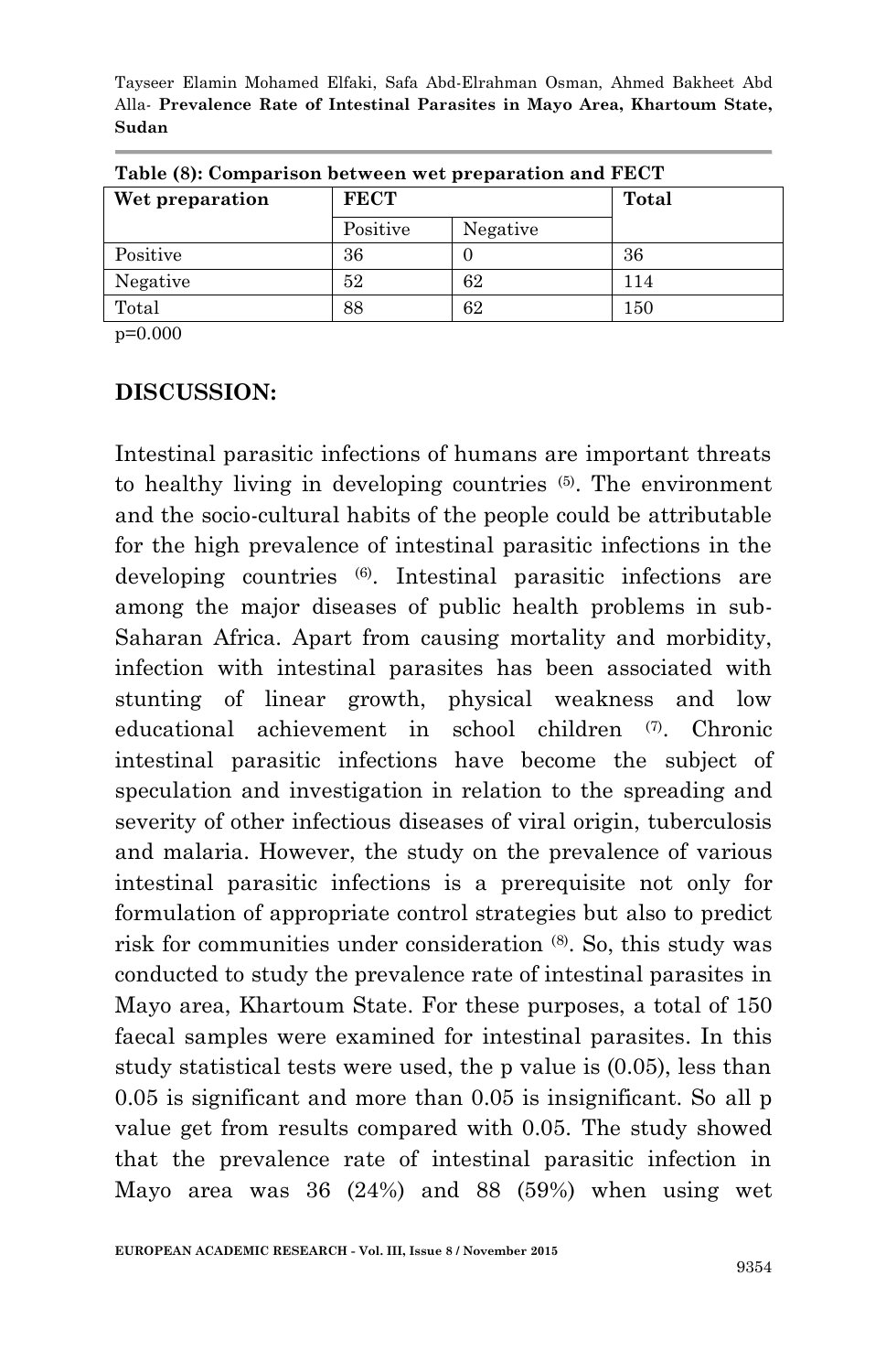| Table (8): Comparison between wet preparation and FECT |             |          |       |  |  |
|--------------------------------------------------------|-------------|----------|-------|--|--|
| Wet preparation                                        | <b>FECT</b> |          | Total |  |  |
|                                                        | Positive    | Negative |       |  |  |
| Positive                                               | 36          |          | 36    |  |  |
| Negative                                               | 52          | 62       | 114   |  |  |
| Total                                                  | 88          | 62       | 150   |  |  |

p=0.000

#### **DISCUSSION:**

Intestinal parasitic infections of humans are important threats to healthy living in developing countries (5). The environment and the socio-cultural habits of the people could be attributable for the high prevalence of intestinal parasitic infections in the developing countries (6) . Intestinal parasitic infections are among the major diseases of public health problems in sub-Saharan Africa. Apart from causing mortality and morbidity, infection with intestinal parasites has been associated with stunting of linear growth, physical weakness and low educational achievement in school children (7). Chronic intestinal parasitic infections have become the subject of speculation and investigation in relation to the spreading and severity of other infectious diseases of viral origin, tuberculosis and malaria. However, the study on the prevalence of various intestinal parasitic infections is a prerequisite not only for formulation of appropriate control strategies but also to predict risk for communities under consideration  $(8)$ . So, this study was conducted to study the prevalence rate of intestinal parasites in Mayo area, Khartoum State. For these purposes, a total of 150 faecal samples were examined for intestinal parasites. In this study statistical tests were used, the p value is (0.05), less than 0.05 is significant and more than 0.05 is insignificant. So all p value get from results compared with 0.05. The study showed that the prevalence rate of intestinal parasitic infection in Mayo area was 36 (24%) and 88 (59%) when using wet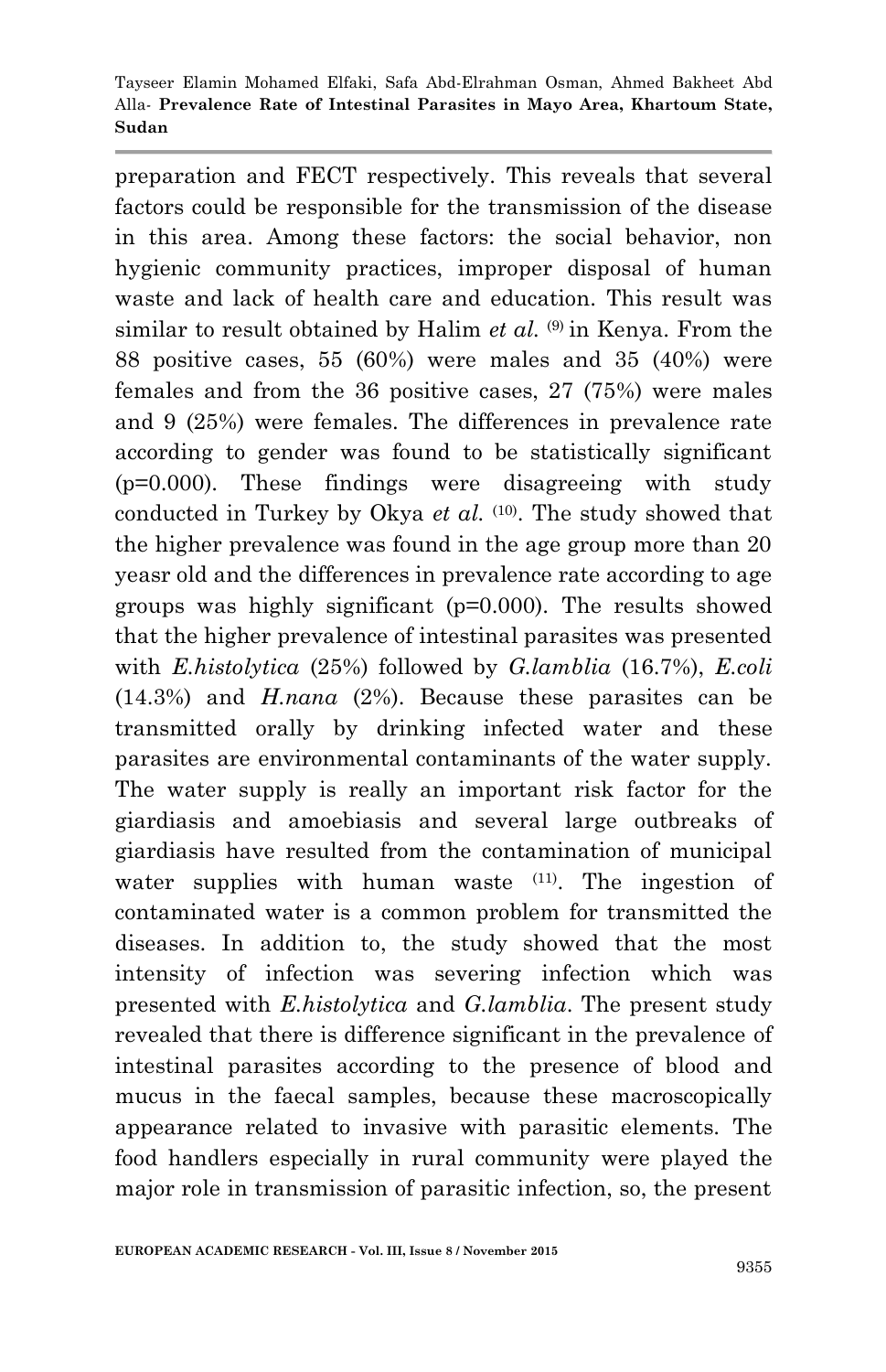preparation and FECT respectively. This reveals that several factors could be responsible for the transmission of the disease in this area. Among these factors: the social behavior, non hygienic community practices, improper disposal of human waste and lack of health care and education. This result was similar to result obtained by Halim *et al.* <sup>(9)</sup> in Kenya. From the 88 positive cases, 55 (60%) were males and 35 (40%) were females and from the 36 positive cases, 27 (75%) were males and 9 (25%) were females. The differences in prevalence rate according to gender was found to be statistically significant (p=0.000). These findings were disagreeing with study conducted in Turkey by Okya *et al.* <sup>(10)</sup>. The study showed that the higher prevalence was found in the age group more than 20 yeasr old and the differences in prevalence rate according to age groups was highly significant (p=0.000). The results showed that the higher prevalence of intestinal parasites was presented with *E.histolytica* (25%) followed by *G.lamblia* (16.7%), *E.coli* (14.3%) and *H.nana* (2%). Because these parasites can be transmitted orally by drinking infected water and these parasites are environmental contaminants of the water supply. The water supply is really an important risk factor for the giardiasis and amoebiasis and several large outbreaks of giardiasis have resulted from the contamination of municipal water supplies with human waste <sup>(11)</sup>. The ingestion of contaminated water is a common problem for transmitted the diseases. In addition to, the study showed that the most intensity of infection was severing infection which was presented with *E.histolytica* and *G.lamblia*. The present study revealed that there is difference significant in the prevalence of intestinal parasites according to the presence of blood and mucus in the faecal samples, because these macroscopically appearance related to invasive with parasitic elements. The food handlers especially in rural community were played the major role in transmission of parasitic infection, so, the present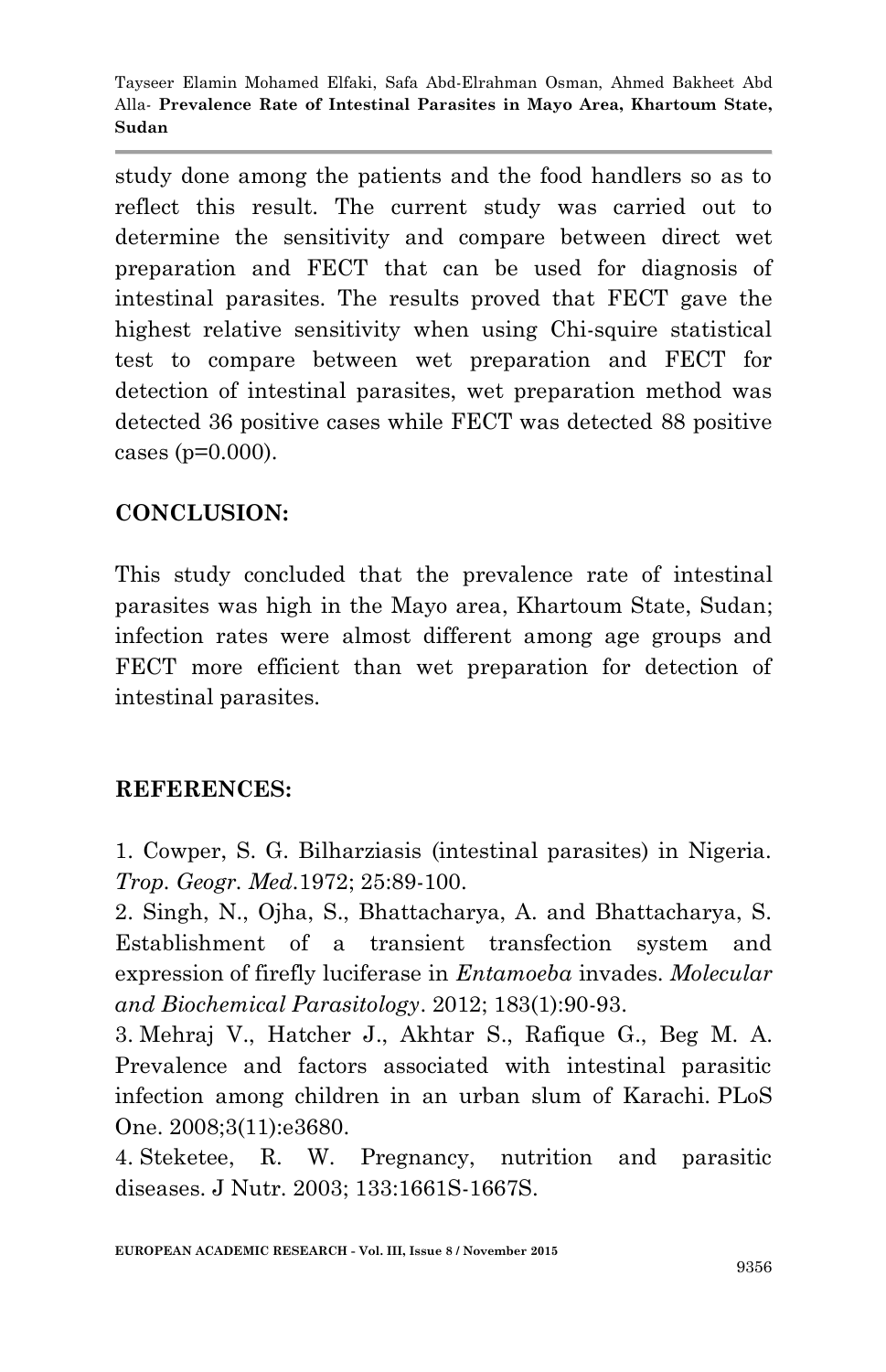study done among the patients and the food handlers so as to reflect this result. The current study was carried out to determine the sensitivity and compare between direct wet preparation and FECT that can be used for diagnosis of intestinal parasites. The results proved that FECT gave the highest relative sensitivity when using Chi-squire statistical test to compare between wet preparation and FECT for detection of intestinal parasites, wet preparation method was detected 36 positive cases while FECT was detected 88 positive cases (p=0.000).

# **CONCLUSION:**

This study concluded that the prevalence rate of intestinal parasites was high in the Mayo area, Khartoum State, Sudan; infection rates were almost different among age groups and FECT more efficient than wet preparation for detection of intestinal parasites.

# **REFERENCES:**

1. Cowper, S. G. Bilharziasis (intestinal parasites) in Nigeria. *Trop. Geogr. Med.*1972; 25:89-100.

2. Singh, N., Ojha, S., Bhattacharya, A. and Bhattacharya, S. Establishment of a transient transfection system and expression of firefly luciferase in *Entamoeba* invades. *Molecular and Biochemical Parasitology*. 2012; 183(1):90-93.

3. Mehraj V., Hatcher J., Akhtar S., Rafique G., Beg M. A. Prevalence and factors associated with intestinal parasitic infection among children in an urban slum of Karachi. PLoS One. 2008;3(11):e3680.

4. Steketee, R. W. Pregnancy, nutrition and parasitic diseases. J Nutr. 2003; 133:1661S-1667S.